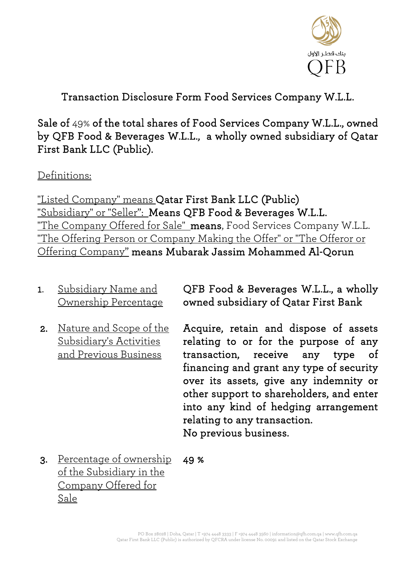

Transaction Disclosure Form Food Services Company W.L.L.

Sale of 49% of the total shares of Food Services Company W.L.L., owned by QFB Food & Beverages W.L.L., a wholly owned subsidiary of Qatar First Bank LLC (Public).

Definitions:

"Listed Company" means Qatar First Bank LLC (Public) "Subsidiary" or "Seller": Means QFB Food & Beverages W.L.L. "The Company Offered for Sale" means, Food Services Company W.L.L. "The Offering Person or Company Making the Offer" or "The Offeror or Offering Company" means Mubarak Jassim Mohammed Al-Qorun

- 1. Subsidiary Name and Ownership Percentage
- 2. Nature and Scope of the Subsidiary's Activities and Previous Business

QFB Food & Beverages W.L.L., a wholly owned subsidiary of Qatar First Bank

Acquire, retain and dispose of assets relating to or for the purpose of any transaction, receive any type of financing and grant any type of security over its assets, give any indemnity or other support to shareholders, and enter into any kind of hedging arrangement relating to any transaction. No previous business.

3. Percentage of ownership of the Subsidiary in the Company Offered for Sale 49 %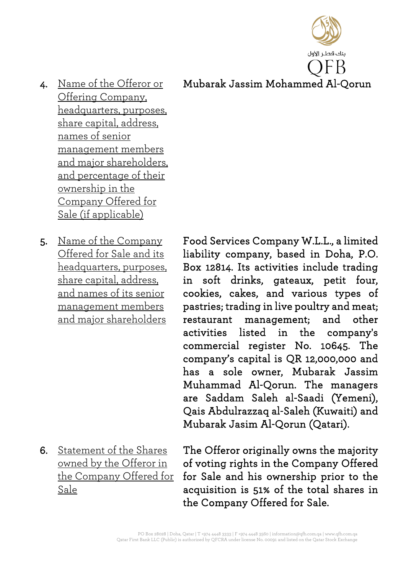بنك قطر الأول Mubarak Jassim Mohammed Al-Qorun

- 4. Name of the Offeror or Offering Company, headquarters, purposes, share capital, address, names of senior management members and major shareholders, and percentage of their ownership in the Company Offered for Sale (if applicable)
- 5. Name of the Company Offered for Sale and its headquarters, purposes, share capital, address, and names of its senior management members and major shareholders

6. Statement of the Shares owned by the Offeror in the Company Offered for Sale

Food Services Company W.L.L., a limited liability company, based in Doha, P.O. Box 12814. Its activities include trading in soft drinks, gateaux, petit four, cookies, cakes, and various types of pastries; trading in live poultry and meat; restaurant management; and other activities listed in the company's commercial register No. 10645. The company's capital is QR 12,000,000 and has a sole owner, Mubarak Jassim Muhammad Al-Qorun. The managers are Saddam Saleh al-Saadi (Yemeni), Qais Abdulrazzaq al-Saleh (Kuwaiti) and Mubarak Jasim Al-Qorun (Qatari).

The Offeror originally owns the majority of voting rights in the Company Offered for Sale and his ownership prior to the acquisition is 51% of the total shares in the Company Offered for Sale.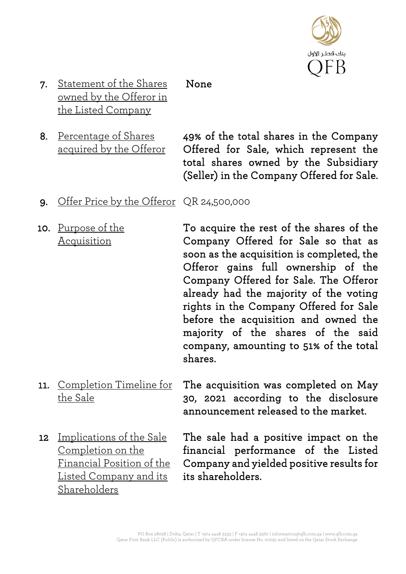

7. Statement of the Shares owned by the Offeror in the Listed Company None

8. Percentage of Shares acquired by the Offeror 49% of the total shares in the Company Offered for Sale, which represent the total shares owned by the Subsidiary (Seller) in the Company Offered for Sale.

- 9. Offer Price by the Offeror QR 24,500,000
- 10. Purpose of the Acquisition

To acquire the rest of the shares of the Company Offered for Sale so that as soon as the acquisition is completed, the Offeror gains full ownership of the Company Offered for Sale. The Offeror already had the majority of the voting rights in the Company Offered for Sale before the acquisition and owned the majority of the shares of the said company, amounting to 51% of the total shares.

- 11. Completion Timeline for the Sale The acquisition was completed on May 30, 2021 according to the disclosure announcement released to the market.
- 12 Implications of the Sale Completion on the Financial Position of the Listed Company and its Shareholders

The sale had a positive impact on the financial performance of the Listed Company and yielded positive results for its shareholders.